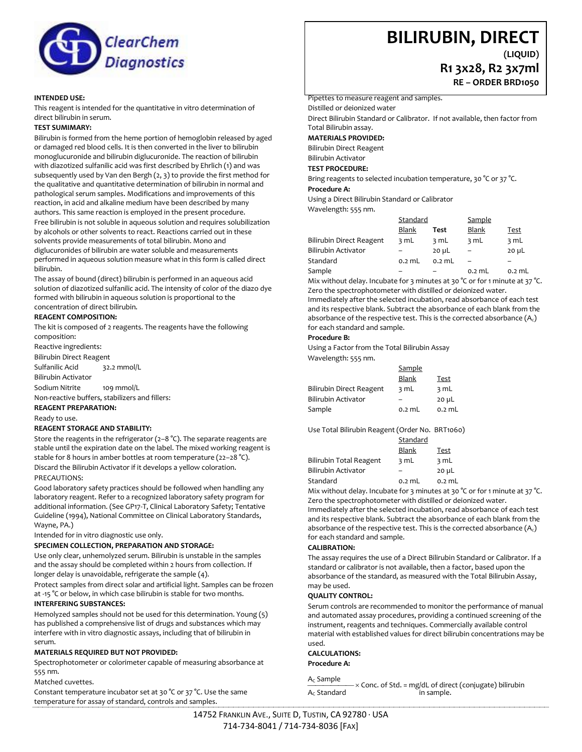

#### **INTENDED USE:**

This reagent is intended for the quantitative in vitro determination of direct bilirubin in serum.

#### **TEST SUMIMARY:**

Bilirubin is formed from the heme portion of hemoglobin released by aged or damaged red blood cells. It is then converted in the liver to bilirubin monoglucuronide and bilirubin diglucuronide. The reaction of bilirubin with diazotized sulfanilic acid was first described by Ehrlich (1) and was subsequently used by Van den Bergh (2, 3) to provide the first method for the qualitative and quantitative determination of bilirubin in normal and pathological serum samples. Modifications and improvements of this reaction, in acid and alkaline medium have been described by many authors. This same reaction is employed in the present procedure.

Free bilirubin is not soluble in aqueous solution and requires solubilization by alcohols or other solvents to react. Reactions carried out in these solvents provide measurements of total bilirubin. Mono and diglucuronides of bilirubin are water soluble and measurements performed in aqueous solution measure what in this form is called direct bilirubin.

The assay of bound (direct) bilirubin is performed in an aqueous acid solution of diazotized sulfanilic acid. The intensity of color of the diazo dye formed with bilirubin in aqueous solution is proportional to the concentration of direct bilirubin.

### **REAGENT COMPOSITION:**

The kit is composed of 2 reagents. The reagents have the following composition:

Reactive ingredients: Bilirubin Direct Reagent Sulfanilic Acid 32.2 mmol/L

Bilirubin Activator

Sodium Nitrite 109 mmol/L

Non-reactive buffers, stabilizers and fillers: **REAGENT PREPARATION:**

Ready to use.

#### **REAGENT STORAGE AND STABILITY:**

Store the reagents in the refrigerator (2–8 °C). The separate reagents are stable until the expiration date on the label. The mixed working reagent is stable for 8 hours in amber bottles at room temperature (22–28 °C). Discard the Bilirubin Activator if it develops a yellow coloration. PRECAUTIONS:

Good laboratory safety practices should be followed when handling any laboratory reagent. Refer to a recognized laboratory safety program for additional information. (See GP17-T, Clinical Laboratory Safety; Tentative Guideline (1994), National Committee on Clinical Laboratory Standards, Wayne, PA.)

Intended for in vitro diagnostic use only.

#### **SPECIMEN COLLECTION, PREPARATION AND STORAGE:**

Use only clear, unhemolyzed serum. Bilirubin is unstable in the samples and the assay should be completed within 2 hours from collection. If longer delay is unavoidable, refrigerate the sample (4).

Protect samples from direct solar and artificial light. Samples can be frozen at -15 °C or below, in which case bilirubin is stable for two months.

#### **INTERFERING SUBSTANCES:**

Hemolyzed samples should not be used for this determination. Young (5) has published a comprehensive list of drugs and substances which may interfere with in vitro diagnostic assays, including that of bilirubin in s*e*rum.

# **MATERIALS REQUIRED BUT NOT PROVIDED:**

Spectrophotometer or colorimeter capable of measuring absorbance at 555 nm.

Matched cuvettes.

Constant temperature incubator set at 30 °C or 37 °C. Use the same temperature for assay of standard, controls and samples.

# **BILIRUBIN, DIRECT**

**(LIQUID)**

**R1 3x28, R2 3x7ml**

**RE – ORDER BRD1050**

Pipettes to measure reagent and samples.

Distilled or deionized water

Direct Bilirubin Standard or Calibrator. If not available, then factor from Total Bilirubin assay.

**MATERIALS PROVIDED:**

Bilirubin Direct Reagent

Bilirubin Activator

**TEST PROCEDURE:**

Bring reagents to selected incubation temperature, 30 °C or 37 °C.

**Procedure A:** 

Using a Direct Bilirubin Standard or Calibrator

Wavelength: 555 nm. Standard Sample

|                          | <b>Blank</b> | Test       | <b>Blank</b> | Test       |  |
|--------------------------|--------------|------------|--------------|------------|--|
| Bilirubin Direct Reagent | 3 mL         | 3 mL       | 3 mL         | 3 mL       |  |
| Bilirubin Activator      |              | $20 \mu L$ |              | $20 \mu L$ |  |
| Standard                 | $0.2$ mL     | $0.2$ mL   |              |            |  |
| Sample                   |              |            | $0.2$ mL     | $0.2$ mL   |  |

Mix without delay. Incubate for 3 minutes at 30 °C or for 1 minute at 37 °C. Zero the spectrophotometer with distilled or deionized water.

Immediately after the selected incubation, read absorbance of each test and its respective blank. Subtract the absorbance of each blank from the absorbance of the respective test. This is the corrected absorbance  $(A_c)$ for each standard and sample.

#### **Procedure B:**

Using a Factor from the Total Bilirubin Assay Wavelength: 555 nm.

|                          | Sample       |            |
|--------------------------|--------------|------------|
|                          | <b>Blank</b> | Test       |
| Bilirubin Direct Reagent | 3 mL         | 3 mL       |
| Bilirubin Activator      |              | $20 \mu L$ |
| Sample                   | $0.2$ mL     | $0.2$ mL   |

Use Total Bilirubin Reagent (Order No. BRT1060)

|                         | Standard |            |
|-------------------------|----------|------------|
|                         | Blank    | Test       |
| Bilirubin Total Reagent | 3 mL     | 3 mL       |
| Bilirubin Activator     |          | $20 \mu L$ |
| Standard                | $0.2$ mL | $0.2$ mL   |

Mix without delay. Incubate for 3 minutes at 30 °C or for 1 minute at 37 °C. Zero the spectrophotometer with distilled or deionized water. Immediately after the selected incubation, read absorbance of each test and its respective blank. Subtract the absorbance of each blank from the absorbance of the respective test. This is the corrected absorbance  $(A<sub>c</sub>)$ for each standard and sample.

#### **CALIBRATION:**

The assay requires the use of a Direct Bilirubin Standard or Calibrator. If a standard or calibrator is not available, then a factor, based upon the absorbance of the standard, as measured with the Total Bilirubin Assay, may be used.

## **QUALITY CONTROL:**

Serum controls are recommended to monitor the performance of manual and automated assay procedures, providing a continued screening of the instrument, reagents and techniques. Commercially available control material with established values for direct bilirubin concentrations may be used.

#### **CALCULATIONS: Procedure A:**

 $\frac{A_C}{A_C}$ Sample  $\longrightarrow$   $\times$  Conc. of Std. = mg/dL of direct (conjugate) bilirubin<br> $\frac{A_C}{A_C}$ Standard  $Ac$  Standard

14752 FRANKLIN AVE., SUITE D, TUSTIN, CA 92780 · USA 714-734-8041 / 714-734-8036 [FAX]